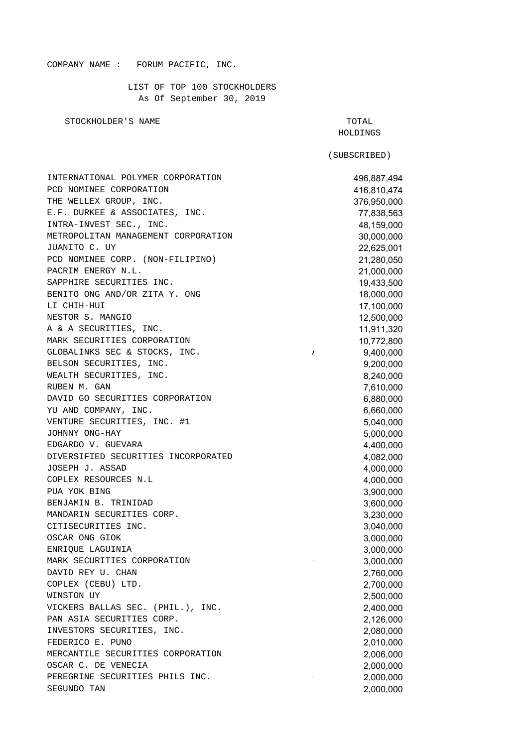## COMPANY NAME : FORUM PACIFIC, INC.

LIST OF TOP 100 STOCKHOLDERS As Of September 30, 2019

STOCKHOLDER'S NAME TO THE SERVICE OF A STOCKHOLDER'S NAME

(SUBSCRIBED)

INTERNATIONAL POLYMER CORPORATION 496,887,494 PCD NOMINEE CORPORATION 416,810.474 THE WELLEX GROUP, INC. 276,950,000 E.F. DURKEE & ASSOCIATES, INC.  $77,838,563$ INTRA-INVEST SEC., INC. 48,159,000 METROPOLITAN MANAGEMENT CORPORATION 30,000,000 JUANITO C. UY 22,625,001 PCD NOMINEE CORP. (NON-FILIPINO) 21,280,050 PACRIM ENERGY N.L. 21,000,000 SAPPHIRE SECURITIES INC. 19,433,500 BENITO ONG AND/OR ZITA Y. ONG 18,000,000 LI CHIH-HUI 17,100,000 NESTOR S. MANGIO 12,500,000 A & A SECURITIES, INC. 11,911,320 MARK SECURITIES CORPORATION 10,772,800 GLOBALINKS SEC & STOCKS, INC.  $\qquad \qquad$  9,400,000 BELSON SECURITIES, INC. 9,200,000 WEALTH SECURITIES, INC.  $8.240.000$ RUBEN M. GAN 7,610,000 DAVID GO SECURITIES CORPORATION 6,880,000 YU AND COMPANY, INC. 6,660,000 VENTURE SECURITIES, INC. #1 5,040,000 JOHNNY ONG-HAY 5,000,000 EDGARDO V. GUEVARA 4,400,000 DIVERSIFIED SECURITIES INCORPORATED 4,082,000 JOSEPH J. ASSAD 4,000,000 COPLEX RESOURCES N.L 4,000,000 PUA YOK BING 3,900,000 BENJAMIN B. TRINIDAD 3,600,000 MANDARIN SECURITIES CORP. 2,230,000 and 3,230,000 CITISECURITIES INC. 3,040,000 OSCAR ONG GIOK 3,000,000 ENRIQUE LAGUINIA 3,000,000 MARK SECURITIES CORPORATION 6 2000 1000 000 DAVID REY U. CHAN 2.760,000 COPLEX (CEBU) LTD. 2,700,000 WINSTON UY 2,500,000 VICKERS BALLAS SEC. (PHIL.), INC. 2,400,000 PAN ASIA SECURITIES CORP. 2,126,000 INVESTORS SECURITIES, INC. 2,080,000 FEDERICO E. PUNO 2,010,000 MERCANTILE SECURITIES CORPORATION 2,006,000 OSCAR C. DE VENECIA 2,000,000 PEREGRINE SECURITIES PHILS INC.  $2.000,000$ SEGUNDO TAN 2,000,000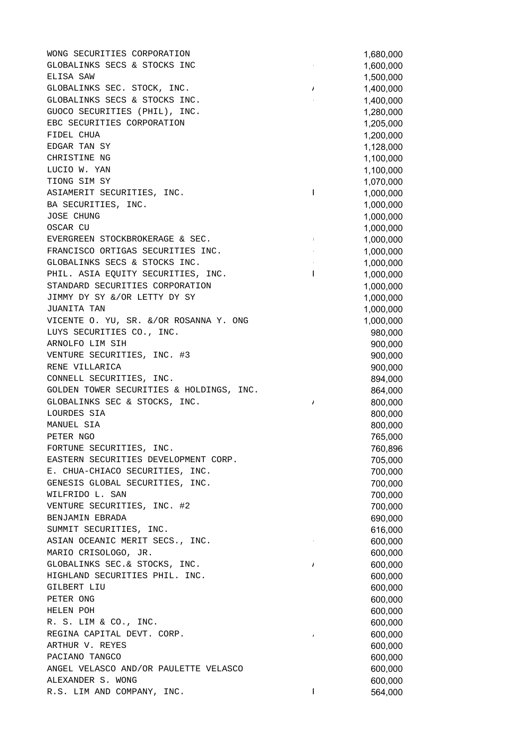WONG SECURITIES CORPORATION 1,680,000 GLOBALINKS SECS & STOCKS INC - 1,600,000 ELISA SAW 1,500,000 GLOBALINKS SEC. STOCK, INC.  $\frac{1}{1}$  1,400,000 GLOBALINKS SECS & STOCKS INC.  $1,400,000$ GUOCO SECURITIES (PHIL), INC. 1,280,000 EBC SECURITIES CORPORATION 1,205,000 FIDEL CHUA 1,200,000 EDGAR TAN SY 1,128,000 CHRISTINE NG 2002 2003 1,100,000 LUCIO W. YAN 1,100,000 TIONG SIM SY 1,070,000 ASIAMERIT SECURITIES, INC. THE 1,000,000 PASIAMERIT SECURITIES, INC. BA SECURITIES, INC. 1,000,000 JOSE CHUNG 1,000,000 OSCAR CU 1,000,000 EVERGREEN STOCKBROKERAGE & SEC. (1,000,000 1,000,000 FRANCISCO ORTIGAS SECURITIES INC.  $1,000,000$ GLOBALINKS SECS & STOCKS INC.  $1,000,000$ PHIL. ASIA EQUITY SECURITIES, INC.  $\begin{array}{cccc} 1 & 1 & 1,000,000 \end{array}$ STANDARD SECURITIES CORPORATION 1,000,000 JIMMY DY SY &/OR LETTY DY SY 1,000,000 JUANITA TAN 1,000,000 VICENTE O. YU, SR. &/OR ROSANNA Y. ONG 1,000,000 LUYS SECURITIES CO., INC. 980,000 ARNOLFO LIM SIH 900,000 VENTURE SECURITIES, INC. #3 900,000 RENE VILLARICA 900,000 CONNELL SECURITIES, INC. 894,000 GOLDEN TOWER SECURITIES & HOLDINGS, INC.  $864,000$ GLOBALINKS SEC & STOCKS, INC.  $\frac{1}{2}$  800,000 LOURDES SIA 800,000 MANUEL SIA 800,000 PETER NGO 765,000 FORTUNE SECURITIES, INC. THE SECURITIES OF A SECURITIES OF A SECURITIES OF A SECURITIES OF A SECURITIES OF A SECURITIES OF A SECURITIES OF A SECURITIES OF A SECURITIES OF A SECURITIES OF A SECURITIES OF A SECURITIES OF A S EASTERN SECURITIES DEVELOPMENT CORP. 705,000 E. CHUA-CHIACO SECURITIES, INC.  $\overline{a}$  700,000 GENESIS GLOBAL SECURITIES, INC. 700,000 WILFRIDO L. SAN 700,000 VENTURE SECURITIES, INC. #2 700,000 BENJAMIN EBRADA 690,000 SUMMIT SECURITIES, INC. 616,000 ASIAN OCEANIC MERIT SECS., INC. The contract of the contract of  $\overline{600.000}$ MARIO CRISOLOGO, JR. 600,000 GLOBALINKS SEC.& STOCKS, INC. A 600,000 HIGHLAND SECURITIES PHIL. INC. 600,000 GILBERT LIU 600,000 PETER ONG 600,000 HELEN POH 600,000 R. S. LIM & CO., INC. 600,000 REGINA CAPITAL DEVT. CORP. / 600,000 ARTHUR V. REYES 600,000 PACIANO TANGCO 600,000 PACIANO TANGCO CONSUMING A CONSUMING A CONSUMING A CONSUMING A CONSUMING A CONSUMING A CONSUMING A CONSUMING A CONSUMING A CONSUMING A CONSUMING A CONSUMING A CONSUMING A CONSUMING A CONSUMING A CONS ANGEL VELASCO AND/OR PAULETTE VELASCO 600,000 ALEXANDER S. WONG **600,000** R.S. LIM AND COMPANY, INC.  $\qquad \qquad$  1 564,000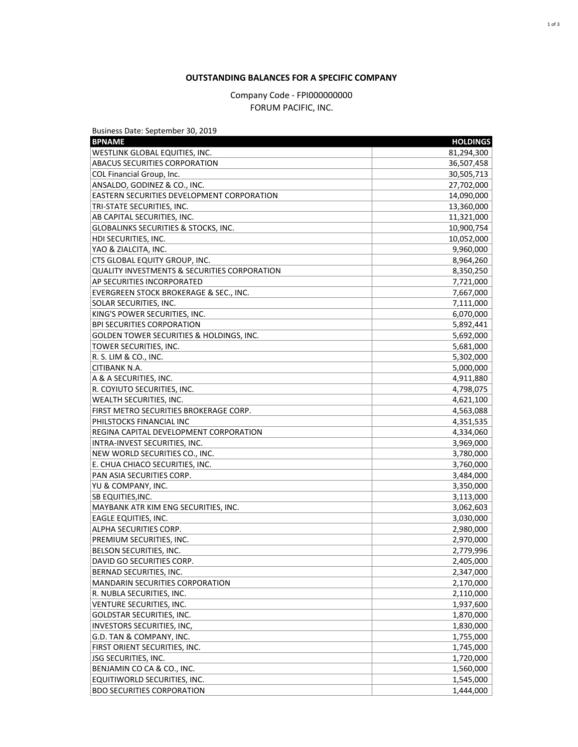## **OUTSTANDING BALANCES FOR A SPECIFIC COMPANY**

Company Code - FPI000000000 FORUM PACIFIC, INC.

| Business Date: September 30, 2019               |                 |
|-------------------------------------------------|-----------------|
| <b>BPNAME</b>                                   | <b>HOLDINGS</b> |
| WESTLINK GLOBAL EQUITIES, INC.                  | 81,294,300      |
| ABACUS SECURITIES CORPORATION                   | 36,507,458      |
| COL Financial Group, Inc.                       | 30,505,713      |
| ANSALDO, GODINEZ & CO., INC.                    | 27,702,000      |
| EASTERN SECURITIES DEVELOPMENT CORPORATION      | 14,090,000      |
| TRI-STATE SECURITIES, INC.                      | 13,360,000      |
| AB CAPITAL SECURITIES, INC.                     | 11,321,000      |
| <b>GLOBALINKS SECURITIES &amp; STOCKS, INC.</b> | 10,900,754      |
| HDI SECURITIES, INC.                            | 10,052,000      |
| YAO & ZIALCITA, INC.                            | 9,960,000       |
| CTS GLOBAL EQUITY GROUP, INC.                   | 8,964,260       |
| QUALITY INVESTMENTS & SECURITIES CORPORATION    | 8,350,250       |
| <b>AP SECURITIES INCORPORATED</b>               | 7,721,000       |
| EVERGREEN STOCK BROKERAGE & SEC., INC.          | 7,667,000       |
| SOLAR SECURITIES, INC.                          | 7,111,000       |
| KING'S POWER SECURITIES, INC.                   | 6,070,000       |
| <b>BPI SECURITIES CORPORATION</b>               | 5,892,441       |
| GOLDEN TOWER SECURITIES & HOLDINGS, INC.        | 5,692,000       |
| <b>TOWER SECURITIES, INC.</b>                   | 5,681,000       |
| R. S. LIM & CO., INC.                           | 5,302,000       |
| <b>CITIBANK N.A.</b>                            | 5,000,000       |
| A & A SECURITIES, INC.                          | 4,911,880       |
| R. COYIUTO SECURITIES, INC.                     | 4,798,075       |
| <b>WEALTH SECURITIES, INC.</b>                  | 4,621,100       |
| FIRST METRO SECURITIES BROKERAGE CORP.          | 4,563,088       |
| PHILSTOCKS FINANCIAL INC                        | 4,351,535       |
| REGINA CAPITAL DEVELOPMENT CORPORATION          | 4,334,060       |
| INTRA-INVEST SECURITIES, INC.                   | 3,969,000       |
| NEW WORLD SECURITIES CO., INC.                  | 3,780,000       |
| E. CHUA CHIACO SECURITIES, INC.                 | 3,760,000       |
| PAN ASIA SECURITIES CORP.                       | 3,484,000       |
| YU & COMPANY, INC.                              | 3,350,000       |
| <b>SB EQUITIES, INC.</b>                        | 3,113,000       |
| MAYBANK ATR KIM ENG SECURITIES, INC.            | 3,062,603       |
| <b>EAGLE EQUITIES, INC.</b>                     | 3,030,000       |
| ALPHA SECURITIES CORP.                          | 2,980,000       |
| PREMIUM SECURITIES, INC.                        | 2,970,000       |
| BELSON SECURITIES, INC.                         | 2,779,996       |
| DAVID GO SECURITIES CORP.                       | 2,405,000       |
| BERNAD SECURITIES, INC.                         | 2,347,000       |
| MANDARIN SECURITIES CORPORATION                 | 2,170,000       |
| R. NUBLA SECURITIES, INC.                       | 2,110,000       |
| VENTURE SECURITIES, INC.                        | 1,937,600       |
| GOLDSTAR SECURITIES, INC.                       | 1,870,000       |
| INVESTORS SECURITIES, INC,                      | 1,830,000       |
| G.D. TAN & COMPANY, INC.                        | 1,755,000       |
| FIRST ORIENT SECURITIES, INC.                   | 1,745,000       |
| JSG SECURITIES, INC.                            | 1,720,000       |
| BENJAMIN CO CA & CO., INC.                      |                 |
|                                                 | 1,560,000       |
| EQUITIWORLD SECURITIES, INC.                    | 1,545,000       |
| <b>BDO SECURITIES CORPORATION</b>               | 1,444,000       |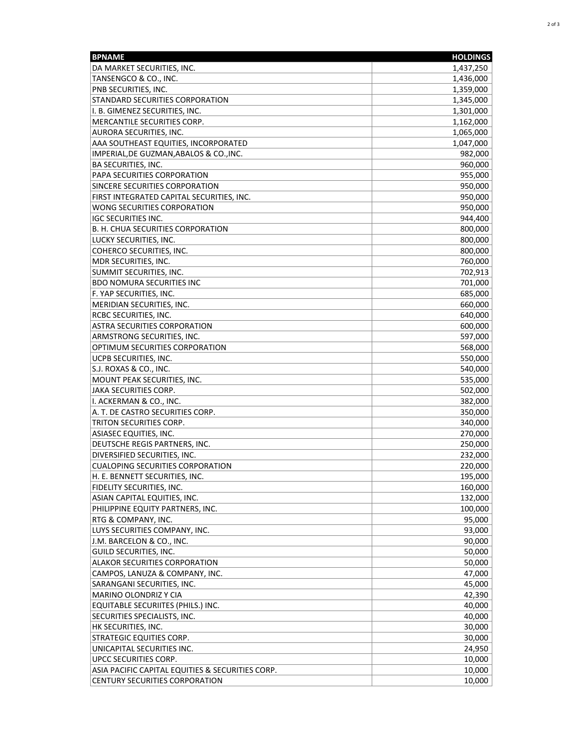| <b>BPNAME</b>                                    | <b>HOLDINGS</b> |
|--------------------------------------------------|-----------------|
| DA MARKET SECURITIES, INC.                       | 1,437,250       |
| TANSENGCO & CO., INC.                            | 1,436,000       |
| PNB SECURITIES, INC.                             | 1,359,000       |
| STANDARD SECURITIES CORPORATION                  | 1,345,000       |
| I. B. GIMENEZ SECURITIES, INC.                   | 1,301,000       |
| MERCANTILE SECURITIES CORP.                      | 1,162,000       |
| AURORA SECURITIES, INC.                          | 1,065,000       |
| AAA SOUTHEAST EQUITIES, INCORPORATED             | 1,047,000       |
| IMPERIAL, DE GUZMAN, ABALOS & CO., INC.          | 982,000         |
| <b>BA SECURITIES, INC.</b>                       | 960,000         |
| PAPA SECURITIES CORPORATION                      | 955,000         |
| SINCERE SECURITIES CORPORATION                   | 950,000         |
| FIRST INTEGRATED CAPITAL SECURITIES, INC.        | 950,000         |
| WONG SECURITIES CORPORATION                      | 950,000         |
| <b>IGC SECURITIES INC.</b>                       | 944,400         |
| B. H. CHUA SECURITIES CORPORATION                | 800,000         |
| LUCKY SECURITIES, INC.                           | 800,000         |
| COHERCO SECURITIES, INC.                         | 800,000         |
|                                                  |                 |
| MDR SECURITIES, INC.                             | 760,000         |
| SUMMIT SECURITIES, INC.                          | 702,913         |
| <b>BDO NOMURA SECURITIES INC</b>                 | 701,000         |
| F. YAP SECURITIES, INC.                          | 685,000         |
| MERIDIAN SECURITIES, INC.                        | 660,000         |
| RCBC SECURITIES, INC.                            | 640,000         |
| <b>ASTRA SECURITIES CORPORATION</b>              | 600,000         |
| ARMSTRONG SECURITIES, INC.                       | 597,000         |
| OPTIMUM SECURITIES CORPORATION                   | 568,000         |
| UCPB SECURITIES, INC.                            | 550,000         |
| S.J. ROXAS & CO., INC.                           | 540,000         |
| MOUNT PEAK SECURITIES, INC.                      | 535,000         |
| JAKA SECURITIES CORP.                            | 502,000         |
| I. ACKERMAN & CO., INC.                          | 382,000         |
| A. T. DE CASTRO SECURITIES CORP.                 | 350,000         |
| TRITON SECURITIES CORP.                          | 340,000         |
| ASIASEC EQUITIES, INC.                           | 270,000         |
| DEUTSCHE REGIS PARTNERS, INC.                    | 250,000         |
| DIVERSIFIED SECURITIES, INC.                     | 232,000         |
| <b>CUALOPING SECURITIES CORPORATION</b>          | 220,000         |
| H. E. BENNETT SECURITIES, INC.                   | 195,000         |
| FIDELITY SECURITIES, INC.                        | 160,000         |
| ASIAN CAPITAL EQUITIES, INC.                     | 132,000         |
| PHILIPPINE EQUITY PARTNERS, INC.                 | 100,000         |
| RTG & COMPANY, INC.                              | 95,000          |
| LUYS SECURITIES COMPANY, INC.                    | 93,000          |
| J.M. BARCELON & CO., INC.                        | 90,000          |
| GUILD SECURITIES, INC.                           | 50,000          |
| <b>ALAKOR SECURITIES CORPORATION</b>             | 50,000          |
| CAMPOS, LANUZA & COMPANY, INC.                   | 47,000          |
| SARANGANI SECURITIES, INC.                       | 45,000          |
| MARINO OLONDRIZ Y CIA                            | 42,390          |
| EQUITABLE SECURIITES (PHILS.) INC.               | 40,000          |
| SECURITIES SPECIALISTS, INC.                     | 40,000          |
| HK SECURITIES, INC.                              | 30,000          |
| STRATEGIC EQUITIES CORP.                         | 30,000          |
| UNICAPITAL SECURITIES INC.                       | 24,950          |
| UPCC SECURITIES CORP.                            | 10,000          |
| ASIA PACIFIC CAPITAL EQUITIES & SECURITIES CORP. | 10,000          |
| <b>CENTURY SECURITIES CORPORATION</b>            | 10,000          |
|                                                  |                 |